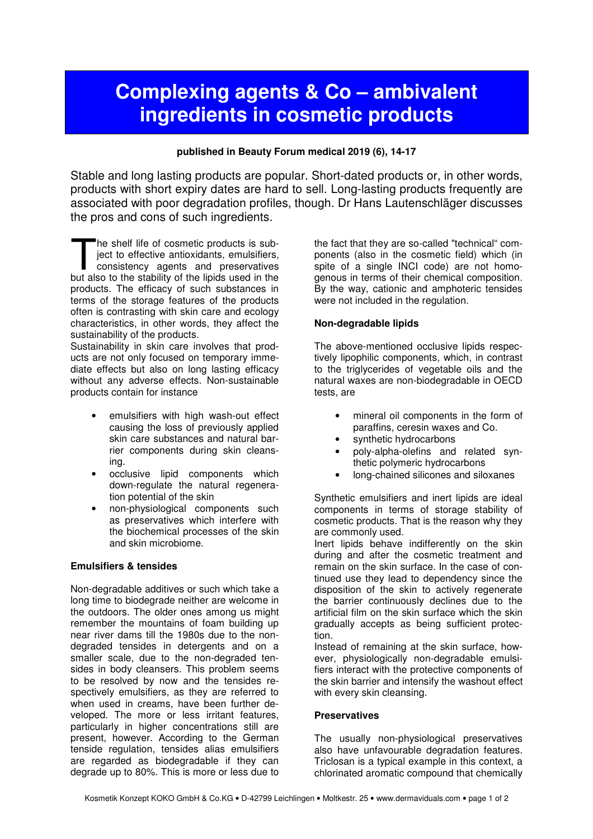# **Complexing agents & Co – ambivalent ingredients in cosmetic products**

#### **published in Beauty Forum medical 2019 (6), 14-17**

Stable and long lasting products are popular. Short-dated products or, in other words, products with short expiry dates are hard to sell. Long-lasting products frequently are associated with poor degradation profiles, though. Dr Hans Lautenschläger discusses the pros and cons of such ingredients.

he shelf life of cosmetic products is subject to effective antioxidants, emulsifiers, consistency agents and preservatives The shelf life of cosmetic products is subject to effective antioxidants, emulsifiers, consistency agents and preservatives but also to the stability of the lipids used in the products. The efficacy of such substances in terms of the storage features of the products often is contrasting with skin care and ecology characteristics, in other words, they affect the sustainability of the products.

Sustainability in skin care involves that products are not only focused on temporary immediate effects but also on long lasting efficacy without any adverse effects. Non-sustainable products contain for instance

- emulsifiers with high wash-out effect causing the loss of previously applied skin care substances and natural barrier components during skin cleansing.
- occlusive lipid components which down-regulate the natural regeneration potential of the skin
- non-physiological components such as preservatives which interfere with the biochemical processes of the skin and skin microbiome.

#### **Emulsifiers & tensides**

Non-degradable additives or such which take a long time to biodegrade neither are welcome in the outdoors. The older ones among us might remember the mountains of foam building up near river dams till the 1980s due to the nondegraded tensides in detergents and on a smaller scale, due to the non-degraded tensides in body cleansers. This problem seems to be resolved by now and the tensides respectively emulsifiers, as they are referred to when used in creams, have been further developed. The more or less irritant features, particularly in higher concentrations still are present, however. According to the German tenside regulation, tensides alias emulsifiers are regarded as biodegradable if they can degrade up to 80%. This is more or less due to

the fact that they are so-called "technical" components (also in the cosmetic field) which (in spite of a single INCI code) are not homogenous in terms of their chemical composition. By the way, cationic and amphoteric tensides were not included in the regulation.

#### **Non-degradable lipids**

The above-mentioned occlusive lipids respectively lipophilic components, which, in contrast to the triglycerides of vegetable oils and the natural waxes are non-biodegradable in OECD tests, are

- mineral oil components in the form of paraffins, ceresin waxes and Co.
- synthetic hydrocarbons
- poly-alpha-olefins and related synthetic polymeric hydrocarbons
- long-chained silicones and siloxanes

Synthetic emulsifiers and inert lipids are ideal components in terms of storage stability of cosmetic products. That is the reason why they are commonly used.

Inert lipids behave indifferently on the skin during and after the cosmetic treatment and remain on the skin surface. In the case of continued use they lead to dependency since the disposition of the skin to actively regenerate the barrier continuously declines due to the artificial film on the skin surface which the skin gradually accepts as being sufficient protection.

Instead of remaining at the skin surface, however, physiologically non-degradable emulsifiers interact with the protective components of the skin barrier and intensify the washout effect with every skin cleansing.

#### **Preservatives**

The usually non-physiological preservatives also have unfavourable degradation features. Triclosan is a typical example in this context, a chlorinated aromatic compound that chemically